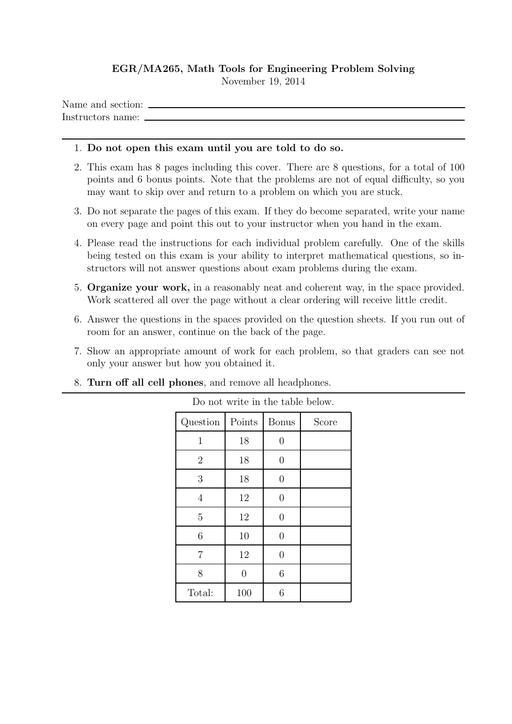## EGR/MA265, Math Tools for Engineering Problem Solving

November 19, 2014

Name and section: Instructors name:

## 1. Do not open this exam until you are told to do so.

- 2. This exam has 8 pages including this cover. There are 8 questions, for a total of 100 points and 6 bonus points. Note that the problems are not of equal difficulty, so you may want to skip over and return to a problem on which you are stuck.
- 3. Do not separate the pages of this exam. If they do become separated, write your name on every page and point this out to your instructor when you hand in the exam.
- 4. Please read the instructions for each individual problem carefully. One of the skills being tested on this exam is your ability to interpret mathematical questions, so instructors will not answer questions about exam problems during the exam.
- 5. Organize your work, in a reasonably neat and coherent way, in the space provided. Work scattered all over the page without a clear ordering will receive little credit.
- 6. Answer the questions in the spaces provided on the question sheets. If you run out of room for an answer, continue on the back of the page.
- 7. Show an appropriate amount of work for each problem, so that graders can see not only your answer but how you obtained it.

Do not write in the table below.

| Question       | Points | <b>Bonus</b>   | Score |
|----------------|--------|----------------|-------|
| $\mathbf 1$    | 18     | $\overline{0}$ |       |
| $\overline{2}$ | 18     | $\overline{0}$ |       |
| 3              | 18     | $\overline{0}$ |       |
| $\overline{4}$ | 12     | 0              |       |
| 5              | 12     | $\overline{0}$ |       |
| 6              | 10     | $\overline{0}$ |       |
| $\overline{7}$ | 12     | $\overline{0}$ |       |
| 8              | 0      | 6              |       |
| Total:         | 100    | 6              |       |

## 8. Turn off all cell phones, and remove all headphones.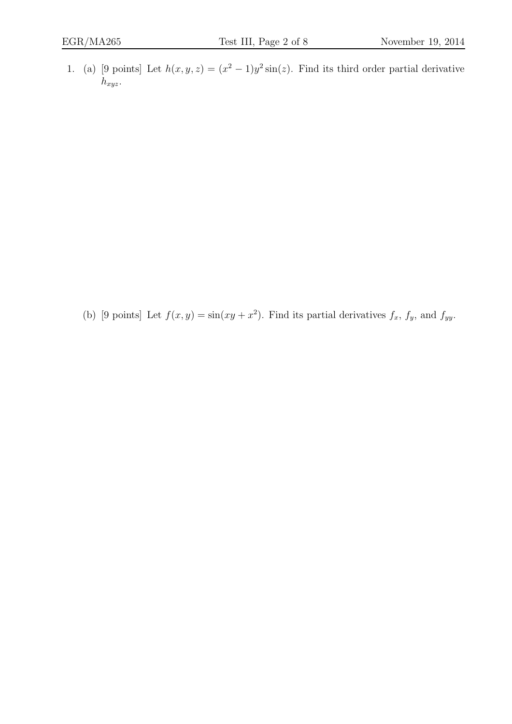1. (a) [9 points] Let  $h(x, y, z) = (x^2 - 1)y^2 \sin(z)$ . Find its third order partial derivative  $h_{xyz}$ .

(b) [9 points] Let  $f(x, y) = \sin(xy + x^2)$ . Find its partial derivatives  $f_x$ ,  $f_y$ , and  $f_{yy}$ .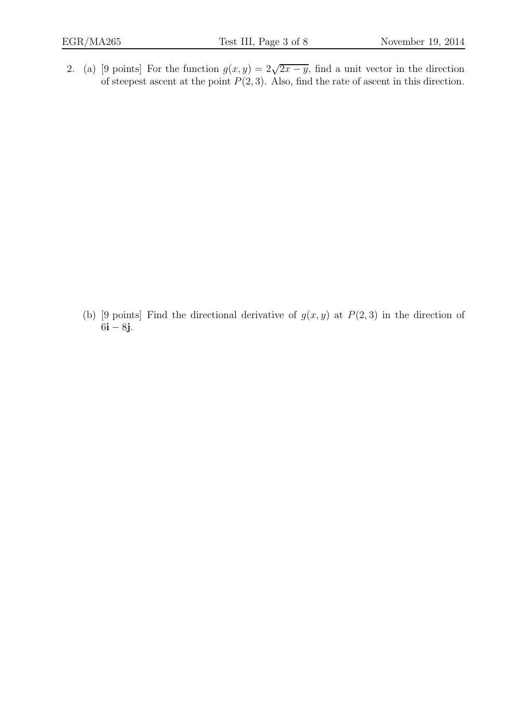2. (a) [9 points] For the function  $g(x, y) = 2\sqrt{2x - y}$ , find a unit vector in the direction of steepest ascent at the point  $P(2, 3)$ . Also, find the rate of ascent in this direction.

(b) [9 points] Find the directional derivative of  $g(x, y)$  at  $P(2, 3)$  in the direction of  $6i - 8j$ .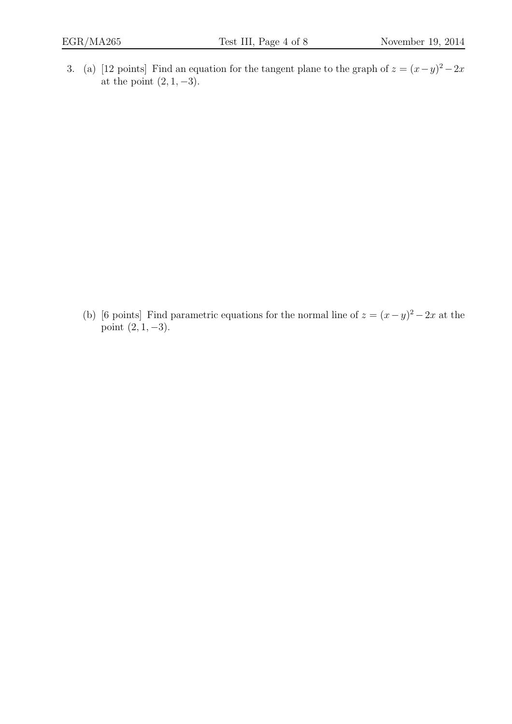3. (a) [12 points] Find an equation for the tangent plane to the graph of  $z = (x - y)^2 - 2x$ at the point  $(2, 1, -3)$ .

(b) [6 points] Find parametric equations for the normal line of  $z = (x - y)^2 - 2x$  at the point  $(2, 1, -3)$ .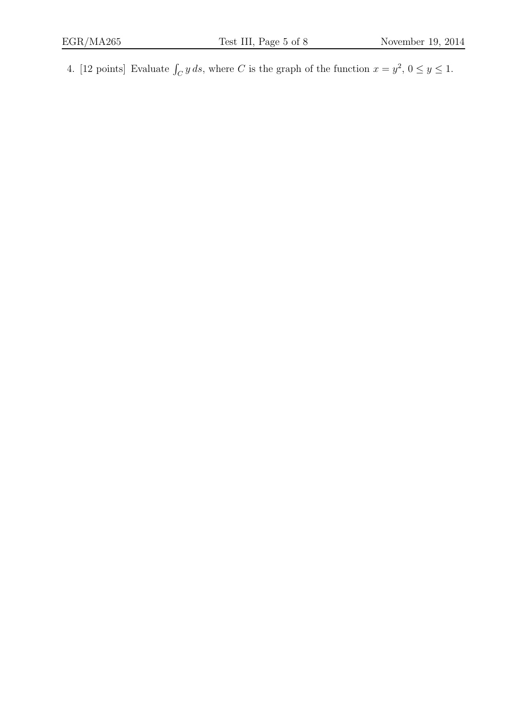4. [12 points] Evaluate  $\int_C y ds$ , where C is the graph of the function  $x = y^2$ ,  $0 \le y \le 1$ .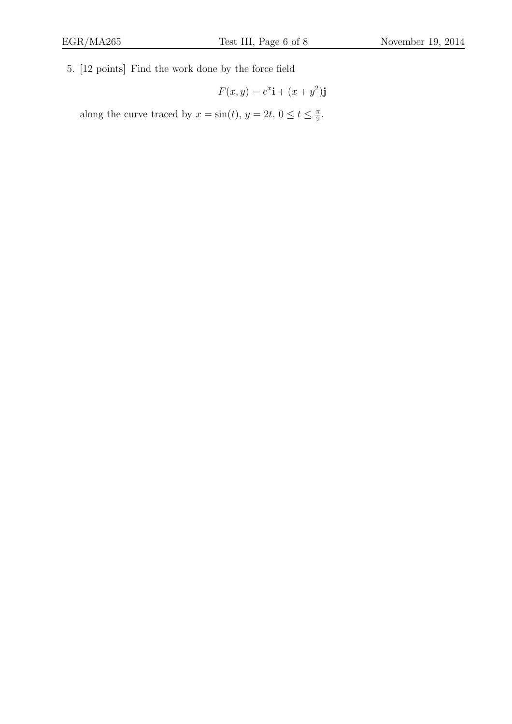5. [12 points] Find the work done by the force field

$$
F(x, y) = e^x \mathbf{i} + (x + y^2) \mathbf{j}
$$

along the curve traced by  $x = \sin(t)$ ,  $y = 2t$ ,  $0 \le t \le \frac{\pi}{2}$ .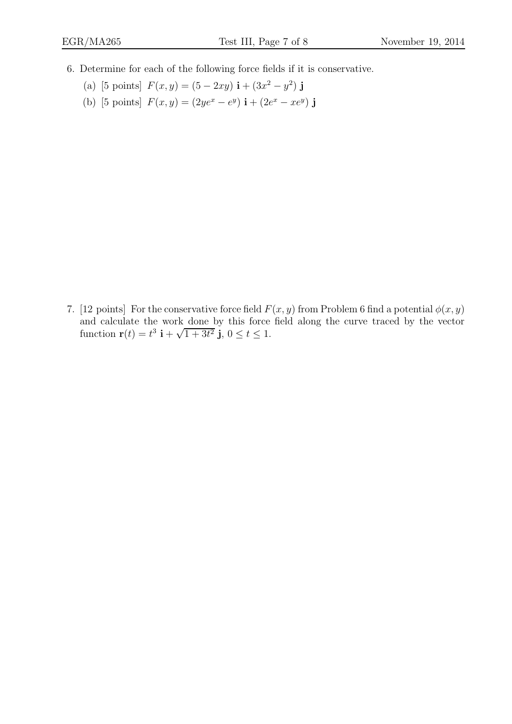- 6. Determine for each of the following force fields if it is conservative.
	- (a) [5 points]  $F(x, y) = (5 2xy) \mathbf{i} + (3x^2 y^2) \mathbf{j}$
	- (b) [5 points]  $F(x, y) = (2ye^x e^y) \mathbf{i} + (2e^x xe^y) \mathbf{j}$

7. [12 points] For the conservative force field  $F(x, y)$  from Problem 6 find a potential  $\phi(x, y)$ and calculate the work done by this force field along the curve traced by the vector function  $\mathbf{r}(t) = t^3 \mathbf{i} + \sqrt{1+3t^2} \mathbf{j}, 0 \le t \le 1.$